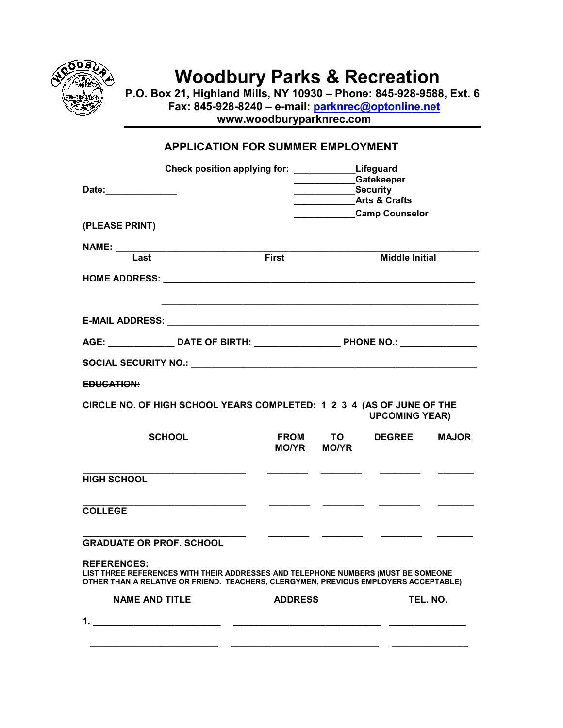

## **Woodbury Parks & Recreation**

**P.O. Box 21, Highland Mills, NY 10930 – Phone: 845-928-9588, Ext. 6** 

 **Fax: 845-928-8240 – e-mail: parknrec@optonline.net** 

 **www.woodburyparknrec.com** 

## **APPLICATION FOR SUMMER EMPLOYMENT**

| Date: 2008<br>(PLEASE PRINT)    | Check position applying for: ______________Lifeguard                                                                                                                      |                | <b>Security</b> Security | Gatekeeper<br><b>Arts &amp; Crafts</b><br>Camp Counselor |              |  |
|---------------------------------|---------------------------------------------------------------------------------------------------------------------------------------------------------------------------|----------------|--------------------------|----------------------------------------------------------|--------------|--|
|                                 | NAME: Last First                                                                                                                                                          |                |                          | <b>Middle Initial</b>                                    |              |  |
|                                 |                                                                                                                                                                           |                |                          |                                                          |              |  |
|                                 |                                                                                                                                                                           |                |                          |                                                          |              |  |
|                                 | AGE: ____________________DATE OF BIRTH: ___________________________PHONE NO.: _____________________                                                                       |                |                          |                                                          |              |  |
|                                 |                                                                                                                                                                           |                |                          |                                                          |              |  |
| EDUCATION:                      |                                                                                                                                                                           |                |                          |                                                          |              |  |
|                                 | CIRCLE NO. OF HIGH SCHOOL YEARS COMPLETED: 1 2 3 4 (AS OF JUNE OF THE                                                                                                     |                |                          | <b>UPCOMING YEAR)</b>                                    |              |  |
| <b>SCHOOL</b>                   |                                                                                                                                                                           | MO/YR MO/YR    | FROM TO                  | <b>DEGREE</b>                                            | <b>MAJOR</b> |  |
| <b>HIGH SCHOOL</b>              |                                                                                                                                                                           |                |                          |                                                          |              |  |
| <b>COLLEGE</b>                  |                                                                                                                                                                           |                |                          |                                                          |              |  |
| <b>GRADUATE OR PROF. SCHOOL</b> |                                                                                                                                                                           |                |                          |                                                          |              |  |
| <b>REFERENCES:</b>              | LIST THREE REFERENCES WITH THEIR ADDRESSES AND TELEPHONE NUMBERS (MUST BE SOMEONE<br>OTHER THAN A RELATIVE OR FRIEND. TEACHERS, CLERGYMEN, PREVIOUS EMPLOYERS ACCEPTABLE) |                |                          |                                                          |              |  |
| <b>NAME AND TITLE</b>           |                                                                                                                                                                           | <b>ADDRESS</b> |                          |                                                          | TEL. NO.     |  |
|                                 |                                                                                                                                                                           |                |                          |                                                          |              |  |
|                                 |                                                                                                                                                                           |                |                          |                                                          |              |  |